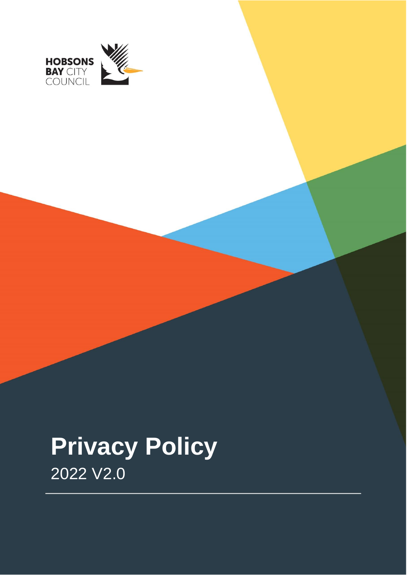

# **Privacy Policy**  2022 V2.0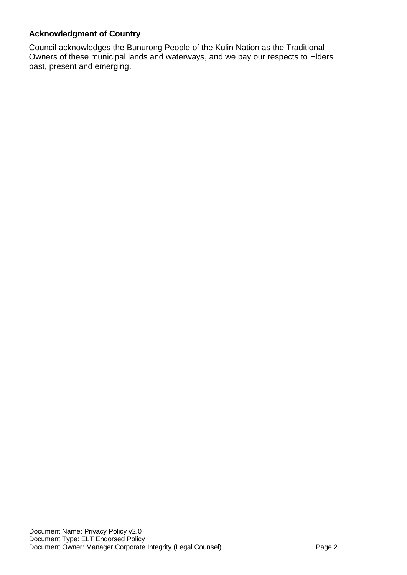#### **Acknowledgment of Country**

Council acknowledges the Bunurong People of the Kulin Nation as the Traditional Owners of these municipal lands and waterways, and we pay our respects to Elders past, present and emerging.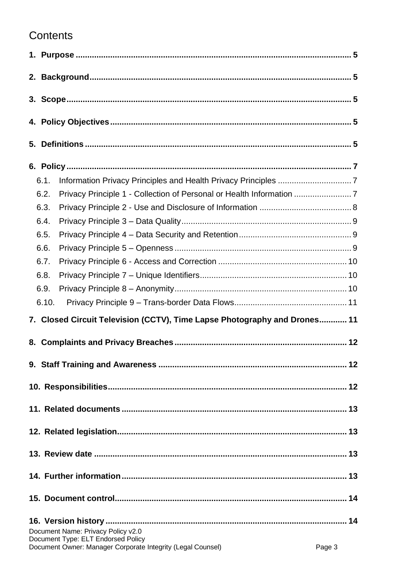## Contents

| 6.1.                                                                                                                                              |  |  |  |  |
|---------------------------------------------------------------------------------------------------------------------------------------------------|--|--|--|--|
| Privacy Principle 1 - Collection of Personal or Health Information 7<br>6.2.                                                                      |  |  |  |  |
| 6.3.                                                                                                                                              |  |  |  |  |
| 6.4.                                                                                                                                              |  |  |  |  |
| 6.5.                                                                                                                                              |  |  |  |  |
| 6.6.                                                                                                                                              |  |  |  |  |
| 6.7.                                                                                                                                              |  |  |  |  |
| 6.8.                                                                                                                                              |  |  |  |  |
| 6.9.                                                                                                                                              |  |  |  |  |
| 6.10.                                                                                                                                             |  |  |  |  |
| 7. Closed Circuit Television (CCTV), Time Lapse Photography and Drones 11                                                                         |  |  |  |  |
|                                                                                                                                                   |  |  |  |  |
|                                                                                                                                                   |  |  |  |  |
|                                                                                                                                                   |  |  |  |  |
|                                                                                                                                                   |  |  |  |  |
|                                                                                                                                                   |  |  |  |  |
|                                                                                                                                                   |  |  |  |  |
|                                                                                                                                                   |  |  |  |  |
|                                                                                                                                                   |  |  |  |  |
|                                                                                                                                                   |  |  |  |  |
| Document Name: Privacy Policy v2.0<br>Document Type: ELT Endorsed Policy<br>Document Owner: Manager Corporate Integrity (Legal Counsel)<br>Page 3 |  |  |  |  |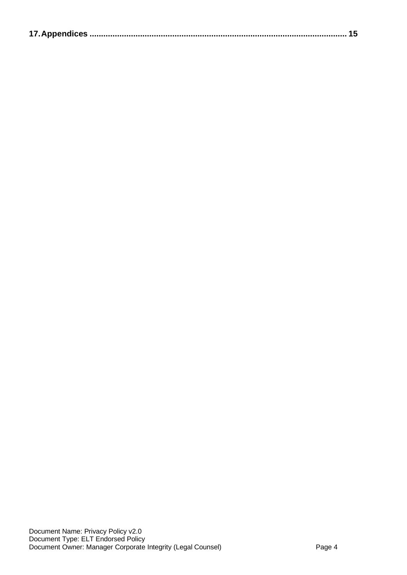|--|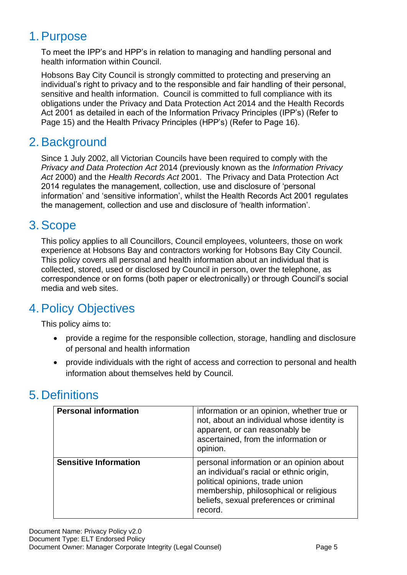## <span id="page-4-0"></span>1.Purpose

To meet the IPP's and HPP's in relation to managing and handling personal and health information within Council.

Hobsons Bay City Council is strongly committed to protecting and preserving an individual's right to privacy and to the responsible and fair handling of their personal, sensitive and health information. Council is committed to full compliance with its obligations under the Privacy and Data Protection Act 2014 and the Health Records Act 2001 as detailed in each of the Information Privacy Principles (IPP's) (Refer to Page 15) and the Health Privacy Principles (HPP's) (Refer to Page 16).

## <span id="page-4-1"></span>2.Background

Since 1 July 2002, all Victorian Councils have been required to comply with the *Privacy and Data Protection Act* 2014 (previously known as the *Information Privacy Act* 2000) and the *Health Records Act* 2001. The Privacy and Data Protection Act 2014 regulates the management, collection, use and disclosure of 'personal information' and 'sensitive information', whilst the Health Records Act 2001 regulates the management, collection and use and disclosure of 'health information'.

## <span id="page-4-2"></span>3.Scope

This policy applies to all Councillors, Council employees, volunteers, those on work experience at Hobsons Bay and contractors working for Hobsons Bay City Council. This policy covers all personal and health information about an individual that is collected, stored, used or disclosed by Council in person, over the telephone, as correspondence or on forms (both paper or electronically) or through Council's social media and web sites.

# <span id="page-4-3"></span>4.Policy Objectives

This policy aims to:

- provide a regime for the responsible collection, storage, handling and disclosure of personal and health information
- provide individuals with the right of access and correction to personal and health information about themselves held by Council.

# <span id="page-4-4"></span>5. Definitions

| <b>Personal information</b>  | information or an opinion, whether true or<br>not, about an individual whose identity is<br>apparent, or can reasonably be<br>ascertained, from the information or<br>opinion.                                          |
|------------------------------|-------------------------------------------------------------------------------------------------------------------------------------------------------------------------------------------------------------------------|
| <b>Sensitive Information</b> | personal information or an opinion about<br>an individual's racial or ethnic origin,<br>political opinions, trade union<br>membership, philosophical or religious<br>beliefs, sexual preferences or criminal<br>record. |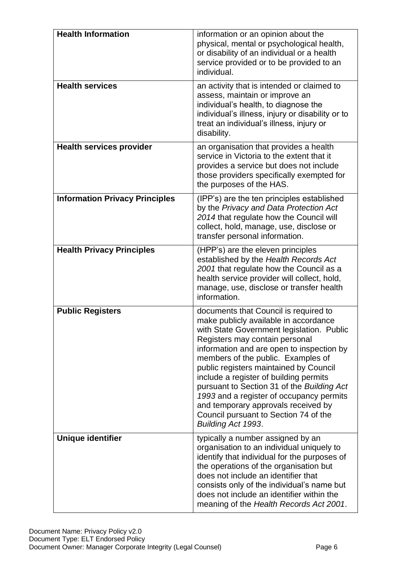| <b>Health Information</b>             | information or an opinion about the<br>physical, mental or psychological health,<br>or disability of an individual or a health<br>service provided or to be provided to an<br>individual.                                                                                                                                                                                                                                                                                                                                            |
|---------------------------------------|--------------------------------------------------------------------------------------------------------------------------------------------------------------------------------------------------------------------------------------------------------------------------------------------------------------------------------------------------------------------------------------------------------------------------------------------------------------------------------------------------------------------------------------|
| <b>Health services</b>                | an activity that is intended or claimed to<br>assess, maintain or improve an<br>individual's health, to diagnose the<br>individual's illness, injury or disability or to<br>treat an individual's illness, injury or<br>disability.                                                                                                                                                                                                                                                                                                  |
| <b>Health services provider</b>       | an organisation that provides a health<br>service in Victoria to the extent that it<br>provides a service but does not include<br>those providers specifically exempted for<br>the purposes of the HAS.                                                                                                                                                                                                                                                                                                                              |
| <b>Information Privacy Principles</b> | (IPP's) are the ten principles established<br>by the Privacy and Data Protection Act<br>2014 that regulate how the Council will<br>collect, hold, manage, use, disclose or<br>transfer personal information.                                                                                                                                                                                                                                                                                                                         |
| <b>Health Privacy Principles</b>      | (HPP's) are the eleven principles<br>established by the Health Records Act<br>2001 that regulate how the Council as a<br>health service provider will collect, hold,<br>manage, use, disclose or transfer health<br>information.                                                                                                                                                                                                                                                                                                     |
| <b>Public Registers</b>               | documents that Council is required to<br>make publicly available in accordance<br>with State Government legislation. Public<br>Registers may contain personal<br>information and are open to inspection by<br>members of the public. Examples of<br>public registers maintained by Council<br>include a register of building permits<br>pursuant to Section 31 of the Building Act<br>1993 and a register of occupancy permits<br>and temporary approvals received by<br>Council pursuant to Section 74 of the<br>Building Act 1993. |
| Unique identifier                     | typically a number assigned by an<br>organisation to an individual uniquely to<br>identify that individual for the purposes of<br>the operations of the organisation but<br>does not include an identifier that<br>consists only of the individual's name but<br>does not include an identifier within the<br>meaning of the Health Records Act 2001.                                                                                                                                                                                |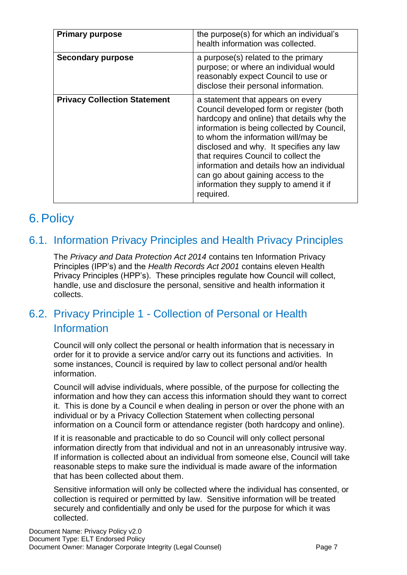| <b>Primary purpose</b>              | the purpose(s) for which an individual's<br>health information was collected.                                                                                                                                                                                                                                                                                                                                                                |
|-------------------------------------|----------------------------------------------------------------------------------------------------------------------------------------------------------------------------------------------------------------------------------------------------------------------------------------------------------------------------------------------------------------------------------------------------------------------------------------------|
| <b>Secondary purpose</b>            | a purpose(s) related to the primary<br>purpose; or where an individual would<br>reasonably expect Council to use or<br>disclose their personal information.                                                                                                                                                                                                                                                                                  |
| <b>Privacy Collection Statement</b> | a statement that appears on every<br>Council developed form or register (both<br>hardcopy and online) that details why the<br>information is being collected by Council,<br>to whom the information will/may be<br>disclosed and why. It specifies any law<br>that requires Council to collect the<br>information and details how an individual<br>can go about gaining access to the<br>information they supply to amend it if<br>required. |

## <span id="page-6-0"></span>6.Policy

#### <span id="page-6-1"></span>6.1. Information Privacy Principles and Health Privacy Principles

The *Privacy and Data Protection Act 2014* contains ten Information Privacy Principles (IPP's) and the *Health Records Act 2001* contains eleven Health Privacy Principles (HPP's). These principles regulate how Council will collect, handle, use and disclosure the personal, sensitive and health information it collects.

#### <span id="page-6-2"></span>6.2. Privacy Principle 1 - Collection of Personal or Health Information

Council will only collect the personal or health information that is necessary in order for it to provide a service and/or carry out its functions and activities. In some instances, Council is required by law to collect personal and/or health information.

Council will advise individuals, where possible, of the purpose for collecting the information and how they can access this information should they want to correct it. This is done by a Council e when dealing in person or over the phone with an individual or by a Privacy Collection Statement when collecting personal information on a Council form or attendance register (both hardcopy and online).

If it is reasonable and practicable to do so Council will only collect personal information directly from that individual and not in an unreasonably intrusive way. If information is collected about an individual from someone else, Council will take reasonable steps to make sure the individual is made aware of the information that has been collected about them.

Sensitive information will only be collected where the individual has consented, or collection is required or permitted by law. Sensitive information will be treated securely and confidentially and only be used for the purpose for which it was collected.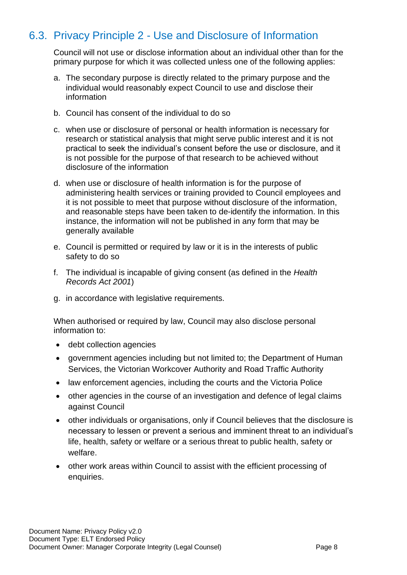## <span id="page-7-0"></span>6.3. Privacy Principle 2 - Use and Disclosure of Information

Council will not use or disclose information about an individual other than for the primary purpose for which it was collected unless one of the following applies:

- a. The secondary purpose is directly related to the primary purpose and the individual would reasonably expect Council to use and disclose their information
- b. Council has consent of the individual to do so
- c. when use or disclosure of personal or health information is necessary for research or statistical analysis that might serve public interest and it is not practical to seek the individual's consent before the use or disclosure, and it is not possible for the purpose of that research to be achieved without disclosure of the information
- d. when use or disclosure of health information is for the purpose of administering health services or training provided to Council employees and it is not possible to meet that purpose without disclosure of the information, and reasonable steps have been taken to de-identify the information. In this instance, the information will not be published in any form that may be generally available
- e. Council is permitted or required by law or it is in the interests of public safety to do so
- f. The individual is incapable of giving consent (as defined in the *Health Records Act 2001*)
- g. in accordance with legislative requirements.

When authorised or required by law, Council may also disclose personal information to:

- debt collection agencies
- government agencies including but not limited to; the Department of Human Services, the Victorian Workcover Authority and Road Traffic Authority
- law enforcement agencies, including the courts and the Victoria Police
- other agencies in the course of an investigation and defence of legal claims against Council
- other individuals or organisations, only if Council believes that the disclosure is necessary to lessen or prevent a serious and imminent threat to an individual's life, health, safety or welfare or a serious threat to public health, safety or welfare.
- other work areas within Council to assist with the efficient processing of enquiries.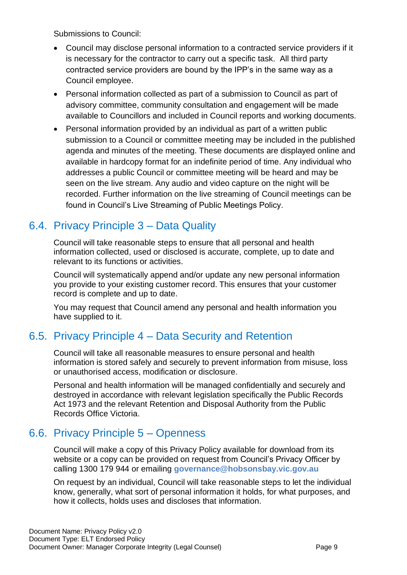Submissions to Council:

- Council may disclose personal information to a contracted service providers if it is necessary for the contractor to carry out a specific task. All third party contracted service providers are bound by the IPP's in the same way as a Council employee.
- Personal information collected as part of a submission to Council as part of advisory committee, community consultation and engagement will be made available to Councillors and included in Council reports and working documents.
- Personal information provided by an individual as part of a written public submission to a Council or committee meeting may be included in the published agenda and minutes of the meeting. These documents are displayed online and available in hardcopy format for an indefinite period of time. Any individual who addresses a public Council or committee meeting will be heard and may be seen on the live stream. Any audio and video capture on the night will be recorded. Further information on the live streaming of Council meetings can be found in Council's Live Streaming of Public Meetings Policy.

#### <span id="page-8-0"></span>6.4. Privacy Principle 3 – Data Quality

Council will take reasonable steps to ensure that all personal and health information collected, used or disclosed is accurate, complete, up to date and relevant to its functions or activities.

Council will systematically append and/or update any new personal information you provide to your existing customer record. This ensures that your customer record is complete and up to date.

You may request that Council amend any personal and health information you have supplied to it.

## <span id="page-8-1"></span>6.5. Privacy Principle 4 – Data Security and Retention

Council will take all reasonable measures to ensure personal and health information is stored safely and securely to prevent information from misuse, loss or unauthorised access, modification or disclosure.

Personal and health information will be managed confidentially and securely and destroyed in accordance with relevant legislation specifically the Public Records Act 1973 and the relevant Retention and Disposal Authority from the Public Records Office Victoria.

#### <span id="page-8-2"></span>6.6. Privacy Principle 5 – Openness

Council will make a copy of this Privacy Policy available for download from its website or a copy can be provided on request from Council's Privacy Officer by calling 1300 179 944 or emailing **[governance@hobsonsbay.vic.gov.au](mailto:governance@hobsonsbay.vic.gov.au)**

On request by an individual, Council will take reasonable steps to let the individual know, generally, what sort of personal information it holds, for what purposes, and how it collects, holds uses and discloses that information.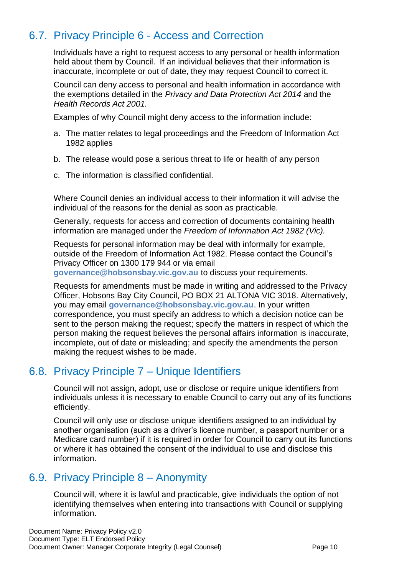## <span id="page-9-0"></span>6.7. Privacy Principle 6 - Access and Correction

Individuals have a right to request access to any personal or health information held about them by Council. If an individual believes that their information is inaccurate, incomplete or out of date, they may request Council to correct it.

Council can deny access to personal and health information in accordance with the exemptions detailed in the *Privacy and Data Protection Act 2014* and the *Health Records Act 2001.*

Examples of why Council might deny access to the information include:

- a. The matter relates to legal proceedings and the Freedom of Information Act 1982 applies
- b. The release would pose a serious threat to life or health of any person
- c. The information is classified confidential.

Where Council denies an individual access to their information it will advise the individual of the reasons for the denial as soon as practicable.

Generally, requests for access and correction of documents containing health information are managed under the *Freedom of Information Act 1982 (Vic).*

Requests for personal information may be deal with informally for example, outside of the Freedom of Information Act 1982. Please contact the Council's Privacy Officer on 1300 179 944 or via email

**[governance@hobsonsbay.vic.gov.au](mailto:governance@hobsonsbay.vic.gov.au)** to discuss your requirements.

Requests for amendments must be made in writing and addressed to the Privacy Officer, Hobsons Bay City Council, PO BOX 21 ALTONA VIC 3018. Alternatively, you may email **[governance@hobsonsbay.vic.gov.au](mailto:governance@hobsonsbay.vic.gov.au)**. In your written correspondence, you must specify an address to which a decision notice can be sent to the person making the request; specify the matters in respect of which the person making the request believes the personal affairs information is inaccurate, incomplete, out of date or misleading; and specify the amendments the person making the request wishes to be made.

#### <span id="page-9-1"></span>6.8. Privacy Principle 7 – Unique Identifiers

Council will not assign, adopt, use or disclose or require unique identifiers from individuals unless it is necessary to enable Council to carry out any of its functions efficiently.

Council will only use or disclose unique identifiers assigned to an individual by another organisation (such as a driver's licence number, a passport number or a Medicare card number) if it is required in order for Council to carry out its functions or where it has obtained the consent of the individual to use and disclose this information.

#### <span id="page-9-2"></span>6.9. Privacy Principle 8 – Anonymity

Council will, where it is lawful and practicable, give individuals the option of not identifying themselves when entering into transactions with Council or supplying information.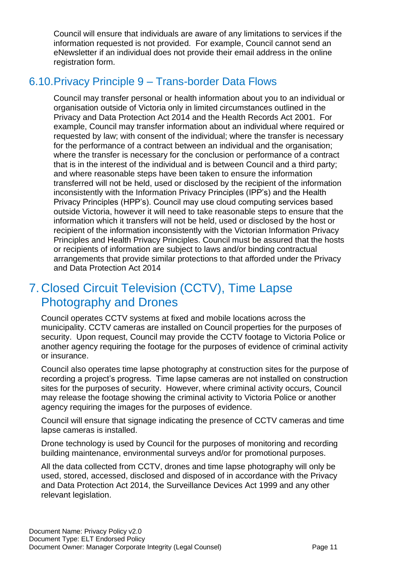Council will ensure that individuals are aware of any limitations to services if the information requested is not provided. For example, Council cannot send an eNewsletter if an individual does not provide their email address in the online registration form.

#### <span id="page-10-0"></span>6.10.Privacy Principle 9 – Trans-border Data Flows

Council may transfer personal or health information about you to an individual or organisation outside of Victoria only in limited circumstances outlined in the Privacy and Data Protection Act 2014 and the Health Records Act 2001. For example, Council may transfer information about an individual where required or requested by law; with consent of the individual; where the transfer is necessary for the performance of a contract between an individual and the organisation; where the transfer is necessary for the conclusion or performance of a contract that is in the interest of the individual and is between Council and a third party; and where reasonable steps have been taken to ensure the information transferred will not be held, used or disclosed by the recipient of the information inconsistently with the Information Privacy Principles (IPP's) and the Health Privacy Principles (HPP's). Council may use cloud computing services based outside Victoria, however it will need to take reasonable steps to ensure that the information which it transfers will not be held, used or disclosed by the host or recipient of the information inconsistently with the Victorian Information Privacy Principles and Health Privacy Principles. Council must be assured that the hosts or recipients of information are subject to laws and/or binding contractual arrangements that provide similar protections to that afforded under the Privacy and Data Protection Act 2014

## <span id="page-10-1"></span>7. Closed Circuit Television (CCTV), Time Lapse Photography and Drones

Council operates CCTV systems at fixed and mobile locations across the municipality. CCTV cameras are installed on Council properties for the purposes of security. Upon request, Council may provide the CCTV footage to Victoria Police or another agency requiring the footage for the purposes of evidence of criminal activity or insurance.

Council also operates time lapse photography at construction sites for the purpose of recording a project's progress. Time lapse cameras are not installed on construction sites for the purposes of security. However, where criminal activity occurs, Council may release the footage showing the criminal activity to Victoria Police or another agency requiring the images for the purposes of evidence.

Council will ensure that signage indicating the presence of CCTV cameras and time lapse cameras is installed.

Drone technology is used by Council for the purposes of monitoring and recording building maintenance, environmental surveys and/or for promotional purposes.

All the data collected from CCTV, drones and time lapse photography will only be used, stored, accessed, disclosed and disposed of in accordance with the Privacy and Data Protection Act 2014, the Surveillance Devices Act 1999 and any other relevant legislation.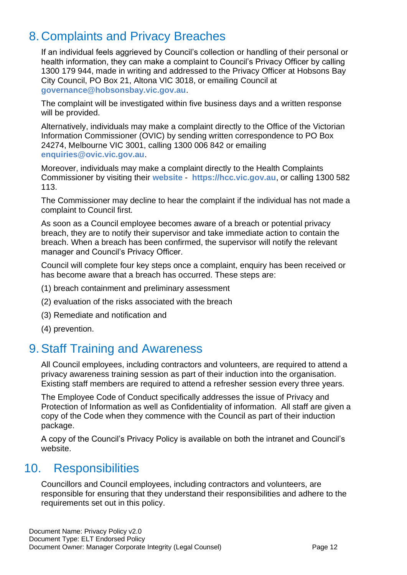## <span id="page-11-0"></span>8. Complaints and Privacy Breaches

If an individual feels aggrieved by Council's collection or handling of their personal or health information, they can make a complaint to Council's Privacy Officer by calling 1300 179 944, made in writing and addressed to the Privacy Officer at Hobsons Bay City Council, PO Box 21, Altona VIC 3018, or emailing Council at **[governance@hobsonsbay.vic.gov.au](mailto:governance@hobsonsbay.vic.gov.au)**.

The complaint will be investigated within five business days and a written response will be provided.

Alternatively, individuals may make a complaint directly to the Office of the Victorian Information Commissioner (OVIC) by sending written correspondence to PO Box 24274, Melbourne VIC 3001, calling 1300 006 842 or emailing **[enquiries@ovic.vic.gov.au](mailto:enquiries@ovic.vic.gov.au)**.

Moreover, individuals may make a complaint directly to the Health Complaints Commissioner by visiting their **[website](https://hcc.vic.gov.au/)** - **[https://hcc.vic.gov.au](https://hcc.vic.gov.au/)**, or calling 1300 582 113.

The Commissioner may decline to hear the complaint if the individual has not made a complaint to Council first.

As soon as a Council employee becomes aware of a breach or potential privacy breach, they are to notify their supervisor and take immediate action to contain the breach. When a breach has been confirmed, the supervisor will notify the relevant manager and Council's Privacy Officer.

Council will complete four key steps once a complaint, enquiry has been received or has become aware that a breach has occurred. These steps are:

- (1) breach containment and preliminary assessment
- (2) evaluation of the risks associated with the breach
- (3) Remediate and notification and
- (4) prevention.

## <span id="page-11-1"></span>9.Staff Training and Awareness

All Council employees, including contractors and volunteers, are required to attend a privacy awareness training session as part of their induction into the organisation. Existing staff members are required to attend a refresher session every three years.

The Employee Code of Conduct specifically addresses the issue of Privacy and Protection of Information as well as Confidentiality of information. All staff are given a copy of the Code when they commence with the Council as part of their induction package.

A copy of the Council's Privacy Policy is available on both the intranet and Council's website.

## <span id="page-11-2"></span>10. Responsibilities

Councillors and Council employees, including contractors and volunteers, are responsible for ensuring that they understand their responsibilities and adhere to the requirements set out in this policy.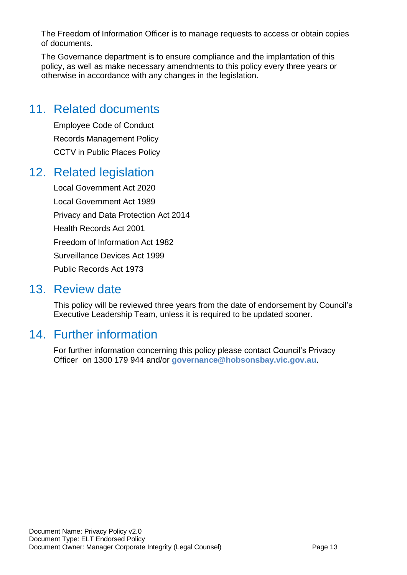The Freedom of Information Officer is to manage requests to access or obtain copies of documents.

The Governance department is to ensure compliance and the implantation of this policy, as well as make necessary amendments to this policy every three years or otherwise in accordance with any changes in the legislation.

## <span id="page-12-0"></span>11. Related documents

Employee Code of Conduct Records Management Policy CCTV in Public Places Policy

## <span id="page-12-1"></span>12. Related legislation

Local Government Act 2020 Local Government Act 1989 Privacy and Data Protection Act 2014 Health Records Act 2001 Freedom of Information Act 1982 Surveillance Devices Act 1999 Public Records Act 1973

#### <span id="page-12-2"></span>13. Review date

This policy will be reviewed three years from the date of endorsement by Council's Executive Leadership Team, unless it is required to be updated sooner.

# <span id="page-12-3"></span>14. Further information

For further information concerning this policy please contact Council's Privacy Officer on 1300 179 944 and/or **[governance@hobsonsbay.vic.gov.au](mailto:governance@hobsonsbay.vic.gov.au)**.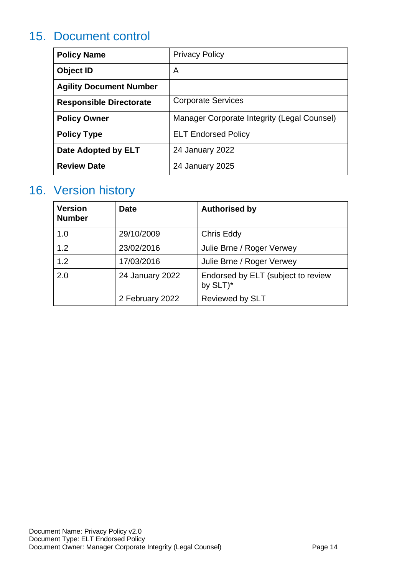## <span id="page-13-0"></span>15. Document control

| <b>Policy Name</b>             | <b>Privacy Policy</b>                       |
|--------------------------------|---------------------------------------------|
| Object ID                      | A                                           |
| <b>Agility Document Number</b> |                                             |
| <b>Responsible Directorate</b> | <b>Corporate Services</b>                   |
| <b>Policy Owner</b>            | Manager Corporate Integrity (Legal Counsel) |
| <b>Policy Type</b>             | <b>ELT Endorsed Policy</b>                  |
| Date Adopted by ELT            | 24 January 2022                             |
| <b>Review Date</b>             | 24 January 2025                             |

## <span id="page-13-1"></span>16. Version history

| <b>Version</b><br><b>Number</b> | <b>Date</b>     | <b>Authorised by</b>                           |
|---------------------------------|-----------------|------------------------------------------------|
| 1.0                             | 29/10/2009      | Chris Eddy                                     |
| 1.2                             | 23/02/2016      | Julie Brne / Roger Verwey                      |
| 1.2                             | 17/03/2016      | Julie Brne / Roger Verwey                      |
| 2.0                             | 24 January 2022 | Endorsed by ELT (subject to review<br>by SLT)* |
|                                 | 2 February 2022 | <b>Reviewed by SLT</b>                         |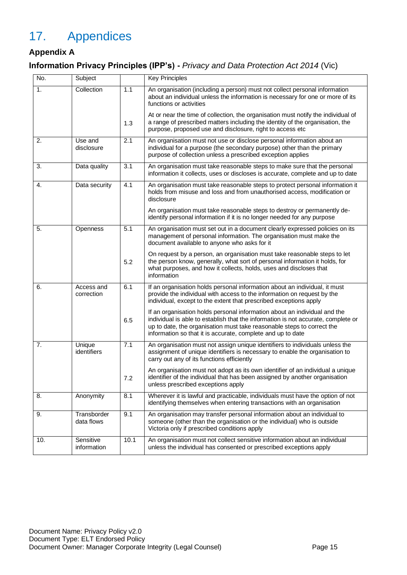# <span id="page-14-0"></span>17. Appendices

#### **Appendix A**

#### **Information Privacy Principles (IPP's) -** *Privacy and Data Protection Act 2014* (Vic)

| No. | Subject                   |                  | <b>Key Principles</b>                                                                                                                                                                                                                                                                                   |
|-----|---------------------------|------------------|---------------------------------------------------------------------------------------------------------------------------------------------------------------------------------------------------------------------------------------------------------------------------------------------------------|
| 1.  | Collection                | 1.1              | An organisation (including a person) must not collect personal information<br>about an individual unless the information is necessary for one or more of its<br>functions or activities                                                                                                                 |
|     |                           | 1.3              | At or near the time of collection, the organisation must notify the individual of<br>a range of prescribed matters including the identity of the organisation, the<br>purpose, proposed use and disclosure, right to access etc                                                                         |
| 2.  | Use and<br>disclosure     | 2.1              | An organisation must not use or disclose personal information about an<br>individual for a purpose (the secondary purpose) other than the primary<br>purpose of collection unless a prescribed exception applies                                                                                        |
| 3.  | Data quality              | 3.1              | An organisation must take reasonable steps to make sure that the personal<br>information it collects, uses or discloses is accurate, complete and up to date                                                                                                                                            |
| 4.  | Data security             | 4.1              | An organisation must take reasonable steps to protect personal information it<br>holds from misuse and loss and from unauthorised access, modification or<br>disclosure                                                                                                                                 |
|     |                           |                  | An organisation must take reasonable steps to destroy or permanently de-<br>identify personal information if it is no longer needed for any purpose                                                                                                                                                     |
| 5.  | Openness                  | 5.1              | An organisation must set out in a document clearly expressed policies on its<br>management of personal information. The organisation must make the<br>document available to anyone who asks for it                                                                                                      |
|     |                           | 5.2              | On request by a person, an organisation must take reasonable steps to let<br>the person know, generally, what sort of personal information it holds, for<br>what purposes, and how it collects, holds, uses and discloses that<br>information                                                           |
| 6.  | Access and<br>correction  | 6.1              | If an organisation holds personal information about an individual, it must<br>provide the individual with access to the information on request by the<br>individual, except to the extent that prescribed exceptions apply                                                                              |
|     |                           | 6.5              | If an organisation holds personal information about an individual and the<br>individual is able to establish that the information is not accurate, complete or<br>up to date, the organisation must take reasonable steps to correct the<br>information so that it is accurate, complete and up to date |
| 7.  | Unique<br>identifiers     | $\overline{7.1}$ | An organisation must not assign unique identifiers to individuals unless the<br>assignment of unique identifiers is necessary to enable the organisation to<br>carry out any of its functions efficiently                                                                                               |
|     |                           | 7.2              | An organisation must not adopt as its own identifier of an individual a unique<br>identifier of the individual that has been assigned by another organisation<br>unless prescribed exceptions apply                                                                                                     |
| 8.  | Anonymity                 | 8.1              | Wherever it is lawful and practicable, individuals must have the option of not<br>identifying themselves when entering transactions with an organisation                                                                                                                                                |
| 9.  | Transborder<br>data flows | 9.1              | An organisation may transfer personal information about an individual to<br>someone (other than the organisation or the individual) who is outside<br>Victoria only if prescribed conditions apply                                                                                                      |
| 10. | Sensitive<br>information  | 10.1             | An organisation must not collect sensitive information about an individual<br>unless the individual has consented or prescribed exceptions apply                                                                                                                                                        |